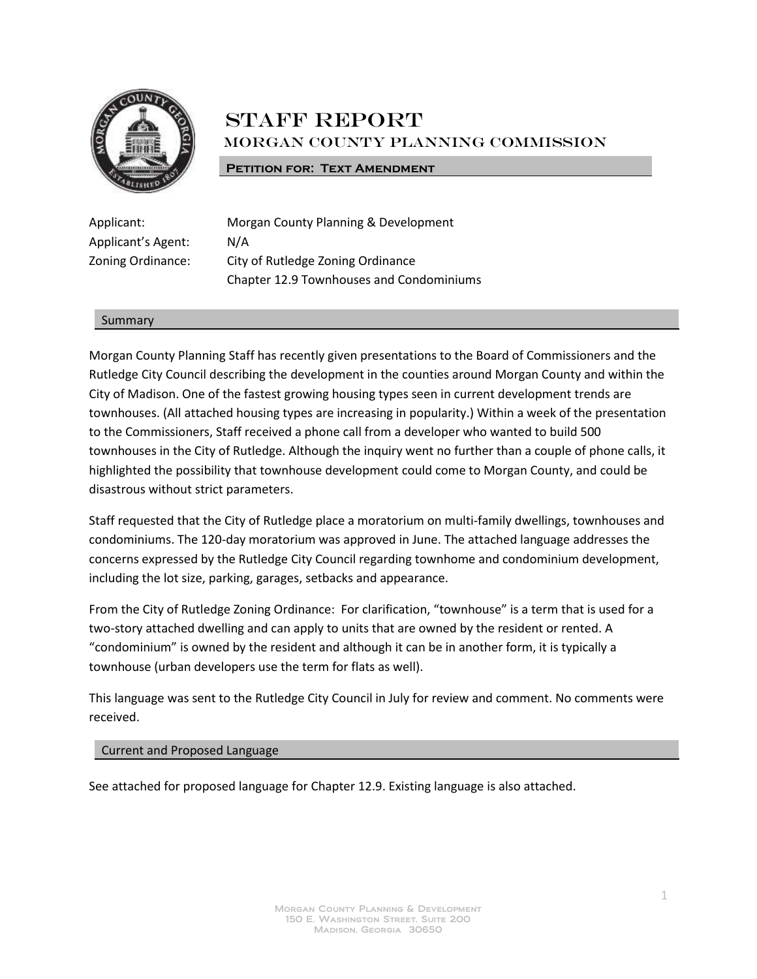

## **STAFF REPORT** Morgan County Planning Commission

## **PETITION FOR: TEXT AMENDMENT**

Applicant's Agent: N/A

Applicant: Morgan County Planning & Development Zoning Ordinance: City of Rutledge Zoning Ordinance Chapter 12.9 Townhouses and Condominiums

## Summary

Morgan County Planning Staff has recently given presentations to the Board of Commissioners and the Rutledge City Council describing the development in the counties around Morgan County and within the City of Madison. One of the fastest growing housing types seen in current development trends are townhouses. (All attached housing types are increasing in popularity.) Within a week of the presentation to the Commissioners, Staff received a phone call from a developer who wanted to build 500 townhouses in the City of Rutledge. Although the inquiry went no further than a couple of phone calls, it highlighted the possibility that townhouse development could come to Morgan County, and could be disastrous without strict parameters.

Staff requested that the City of Rutledge place a moratorium on multi-family dwellings, townhouses and condominiums. The 120-day moratorium was approved in June. The attached language addresses the concerns expressed by the Rutledge City Council regarding townhome and condominium development, including the lot size, parking, garages, setbacks and appearance.

From the City of Rutledge Zoning Ordinance: For clarification, "townhouse" is a term that is used for a two-story attached dwelling and can apply to units that are owned by the resident or rented. A "condominium" is owned by the resident and although it can be in another form, it is typically a townhouse (urban developers use the term for flats as well).

This language was sent to the Rutledge City Council in July for review and comment. No comments were received.

## Current and Proposed Language

See attached for proposed language for Chapter 12.9. Existing language is also attached.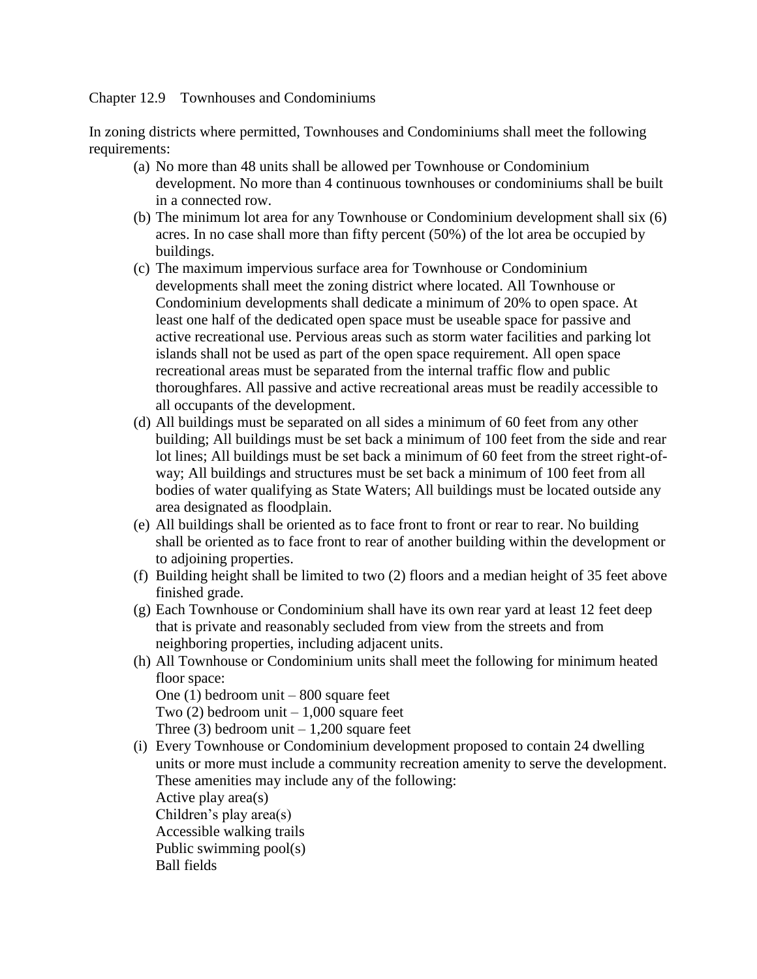Chapter 12.9 Townhouses and Condominiums

In zoning districts where permitted, Townhouses and Condominiums shall meet the following requirements:

- (a) No more than 48 units shall be allowed per Townhouse or Condominium development. No more than 4 continuous townhouses or condominiums shall be built in a connected row.
- (b) The minimum lot area for any Townhouse or Condominium development shall six (6) acres. In no case shall more than fifty percent (50%) of the lot area be occupied by buildings.
- (c) The maximum impervious surface area for Townhouse or Condominium developments shall meet the zoning district where located. All Townhouse or Condominium developments shall dedicate a minimum of 20% to open space. At least one half of the dedicated open space must be useable space for passive and active recreational use. Pervious areas such as storm water facilities and parking lot islands shall not be used as part of the open space requirement. All open space recreational areas must be separated from the internal traffic flow and public thoroughfares. All passive and active recreational areas must be readily accessible to all occupants of the development.
- (d) All buildings must be separated on all sides a minimum of 60 feet from any other building; All buildings must be set back a minimum of 100 feet from the side and rear lot lines; All buildings must be set back a minimum of 60 feet from the street right-ofway; All buildings and structures must be set back a minimum of 100 feet from all bodies of water qualifying as State Waters; All buildings must be located outside any area designated as floodplain.
- (e) All buildings shall be oriented as to face front to front or rear to rear. No building shall be oriented as to face front to rear of another building within the development or to adjoining properties.
- (f) Building height shall be limited to two (2) floors and a median height of 35 feet above finished grade.
- (g) Each Townhouse or Condominium shall have its own rear yard at least 12 feet deep that is private and reasonably secluded from view from the streets and from neighboring properties, including adjacent units.
- (h) All Townhouse or Condominium units shall meet the following for minimum heated floor space:

One (1) bedroom unit – 800 square feet Two  $(2)$  bedroom unit  $-1,000$  square feet

Three  $(3)$  bedroom unit  $-1,200$  square feet

(i) Every Townhouse or Condominium development proposed to contain 24 dwelling units or more must include a community recreation amenity to serve the development. These amenities may include any of the following: Active play area(s) Children's play area(s) Accessible walking trails Public swimming pool(s) Ball fields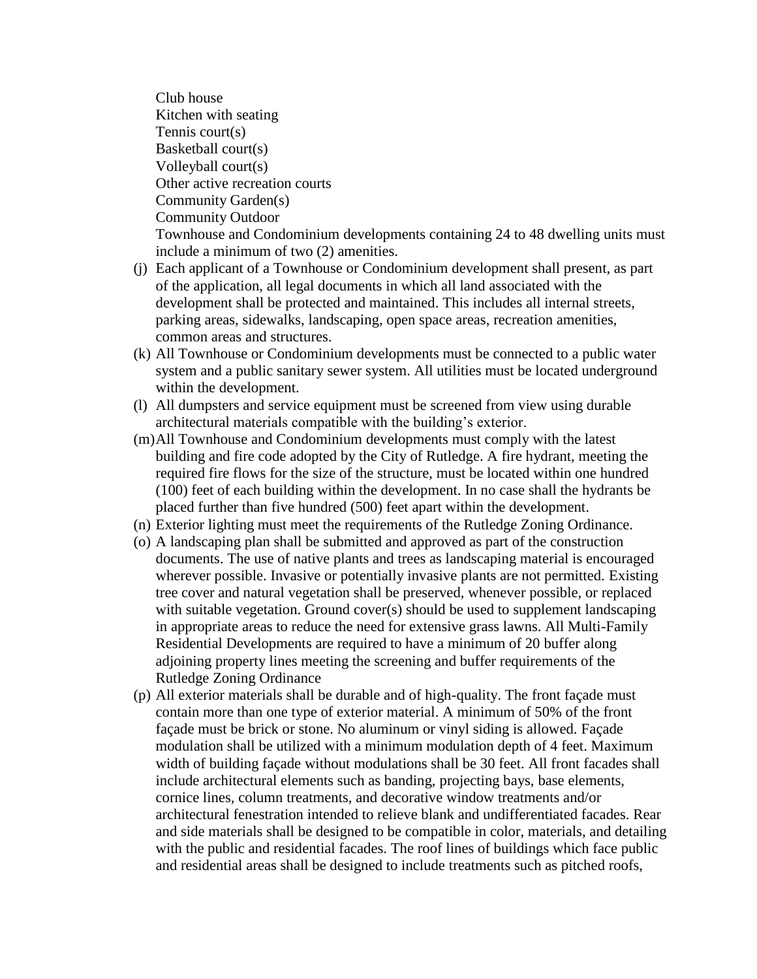Club house Kitchen with seating Tennis court(s) Basketball court(s) Volleyball court(s) Other active recreation courts Community Garden(s) Community Outdoor Townhouse and Condominium developments containing 24 to 48 dwelling units must include a minimum of two (2) amenities.

- (j) Each applicant of a Townhouse or Condominium development shall present, as part of the application, all legal documents in which all land associated with the development shall be protected and maintained. This includes all internal streets, parking areas, sidewalks, landscaping, open space areas, recreation amenities, common areas and structures.
- (k) All Townhouse or Condominium developments must be connected to a public water system and a public sanitary sewer system. All utilities must be located underground within the development.
- (l) All dumpsters and service equipment must be screened from view using durable architectural materials compatible with the building's exterior.
- (m)All Townhouse and Condominium developments must comply with the latest building and fire code adopted by the City of Rutledge. A fire hydrant, meeting the required fire flows for the size of the structure, must be located within one hundred (100) feet of each building within the development. In no case shall the hydrants be placed further than five hundred (500) feet apart within the development.
- (n) Exterior lighting must meet the requirements of the Rutledge Zoning Ordinance.
- (o) A landscaping plan shall be submitted and approved as part of the construction documents. The use of native plants and trees as landscaping material is encouraged wherever possible. Invasive or potentially invasive plants are not permitted. Existing tree cover and natural vegetation shall be preserved, whenever possible, or replaced with suitable vegetation. Ground cover(s) should be used to supplement landscaping in appropriate areas to reduce the need for extensive grass lawns. All Multi-Family Residential Developments are required to have a minimum of 20 buffer along adjoining property lines meeting the screening and buffer requirements of the Rutledge Zoning Ordinance
- (p) All exterior materials shall be durable and of high-quality. The front façade must contain more than one type of exterior material. A minimum of 50% of the front façade must be brick or stone. No aluminum or vinyl siding is allowed. Façade modulation shall be utilized with a minimum modulation depth of 4 feet. Maximum width of building façade without modulations shall be 30 feet. All front facades shall include architectural elements such as banding, projecting bays, base elements, cornice lines, column treatments, and decorative window treatments and/or architectural fenestration intended to relieve blank and undifferentiated facades. Rear and side materials shall be designed to be compatible in color, materials, and detailing with the public and residential facades. The roof lines of buildings which face public and residential areas shall be designed to include treatments such as pitched roofs,